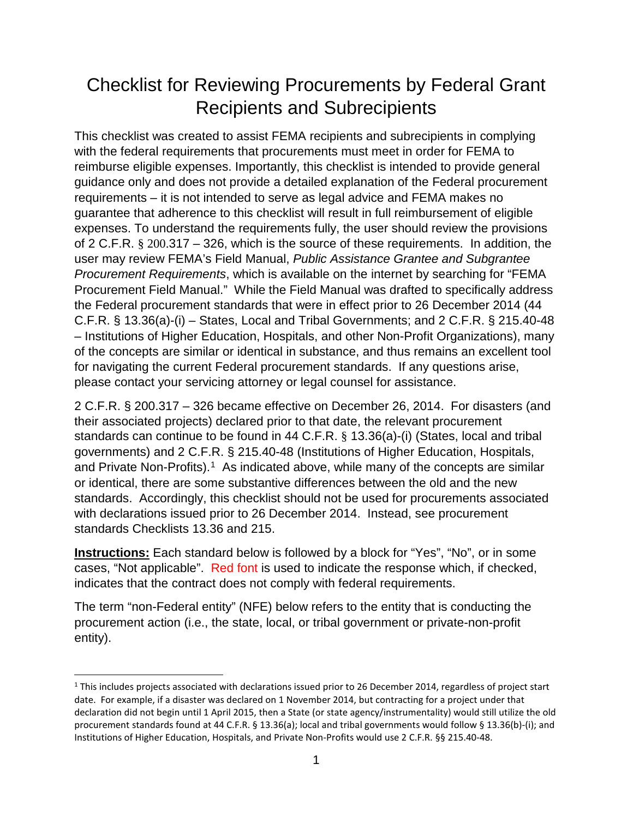# Checklist for Reviewing Procurements by Federal Grant Recipients and Subrecipients

This checklist was created to assist FEMA recipients and subrecipients in complying with the federal requirements that procurements must meet in order for FEMA to reimburse eligible expenses. Importantly, this checklist is intended to provide general guidance only and does not provide a detailed explanation of the Federal procurement requirements – it is not intended to serve as legal advice and FEMA makes no guarantee that adherence to this checklist will result in full reimbursement of eligible expenses. To understand the requirements fully, the user should review the provisions of 2 C.F.R. § 200.317 – 326, which is the source of these requirements. In addition, the user may review FEMA's Field Manual, *Public Assistance Grantee and Subgrantee Procurement Requirements*, which is available on the internet by searching for "FEMA Procurement Field Manual." While the Field Manual was drafted to specifically address the Federal procurement standards that were in effect prior to 26 December 2014 (44 C.F.R. § 13.36(a)-(i) – States, Local and Tribal Governments; and 2 C.F.R. § 215.40-48 – Institutions of Higher Education, Hospitals, and other Non-Profit Organizations), many of the concepts are similar or identical in substance, and thus remains an excellent tool for navigating the current Federal procurement standards. If any questions arise, please contact your servicing attorney or legal counsel for assistance.

2 C.F.R. § 200.317 – 326 became effective on December 26, 2014. For disasters (and their associated projects) declared prior to that date, the relevant procurement standards can continue to be found in 44 C.F.R. § 13.36(a)-(i) (States, local and tribal governments) and 2 C.F.R. § 215.40-48 (Institutions of Higher Education, Hospitals, and Private Non-Profits). [1](#page-0-0) As indicated above, while many of the concepts are similar or identical, there are some substantive differences between the old and the new standards. Accordingly, this checklist should not be used for procurements associated with declarations issued prior to 26 December 2014. Instead, see procurement standards Checklists 13.36 and 215.

**Instructions:** Each standard below is followed by a block for "Yes", "No", or in some cases, "Not applicable". Red font is used to indicate the response which, if checked, indicates that the contract does not comply with federal requirements.

The term "non-Federal entity" (NFE) below refers to the entity that is conducting the procurement action (i.e., the state, local, or tribal government or private-non-profit entity).

<span id="page-0-0"></span><sup>&</sup>lt;sup>1</sup> This includes projects associated with declarations issued prior to 26 December 2014, regardless of project start date. For example, if a disaster was declared on 1 November 2014, but contracting for a project under that declaration did not begin until 1 April 2015, then a State (or state agency/instrumentality) would still utilize the old procurement standards found at 44 C.F.R. § 13.36(a); local and tribal governments would follow § 13.36(b)-(i); and Institutions of Higher Education, Hospitals, and Private Non-Profits would use 2 C.F.R. §§ 215.40-48.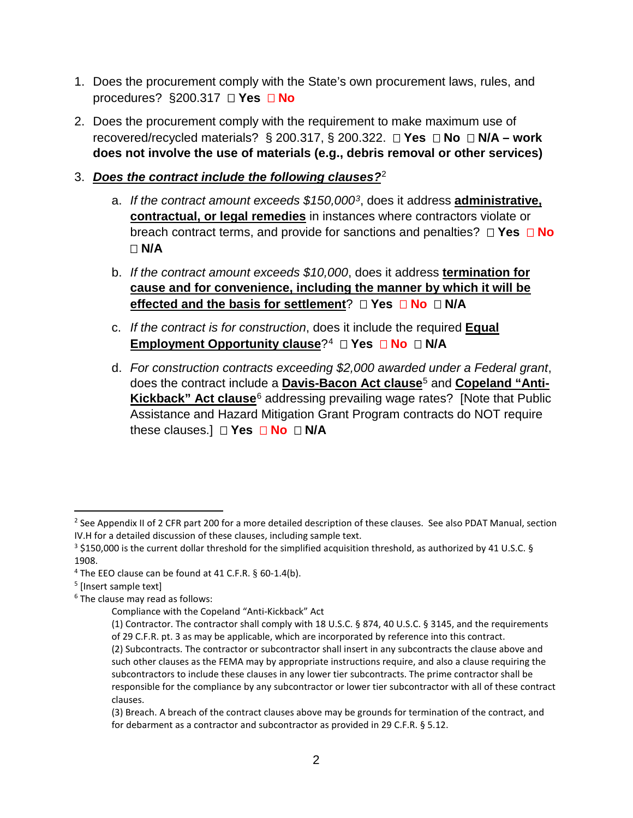- 1. Does the procurement comply with the State's own procurement laws, rules, and procedures? §200.317 **□ Yes □ No**
- 2. Does the procurement comply with the requirement to make maximum use of recovered/recycled materials?  $\S$  200.317,  $\S$  200.322.  $\Box$  **Yes**  $\Box$  **No**  $\Box$  **N/A – work does not involve the use of materials (e.g., debris removal or other services)**

## 3. *Does the contract include the following clauses?*[2](#page-1-0)

- a. *If the contract amount exceeds \$150,000[3](#page-1-1)*, does it address **administrative, contractual, or legal remedies** in instances where contractors violate or breach contract terms, and provide for sanctions and penalties? **Yes No N/A**
- b. *If the contract amount exceeds \$10,000*, does it address **termination for cause and for convenience, including the manner by which it will be effected and the basis for settlement?**  $\Box$  Yes  $\Box$  No  $\Box$  N/A
- c. *If the contract is for construction*, does it include the required **Equal Employment Opportunity clause?<sup>[4](#page-1-2)</sup> □ Yes □ No □ N/A**
- d. *For construction contracts exceeding \$2,000 awarded under a Federal grant*, does the contract include a **Davis-Bacon Act clause**[5](#page-1-3) and **Copeland "Anti-Kickback" Act clause**[6](#page-1-4) addressing prevailing wage rates? [Note that Public Assistance and Hazard Mitigation Grant Program contracts do NOT require these clauses.] **Yes No N/A**

<span id="page-1-0"></span><sup>&</sup>lt;sup>2</sup> See Appendix II of 2 CFR part 200 for a more detailed description of these clauses. See also PDAT Manual, section IV.H for a detailed discussion of these clauses, including sample text.

<span id="page-1-1"></span><sup>3</sup> \$150,000 is the current dollar threshold for the simplified acquisition threshold, as authorized by 41 U.S.C. § 1908.

<span id="page-1-2"></span><sup>&</sup>lt;sup>4</sup> The EEO clause can be found at 41 C.F.R. § 60-1.4(b).

<span id="page-1-3"></span><sup>&</sup>lt;sup>5</sup> [Insert sample text]

<span id="page-1-4"></span> $6$  The clause may read as follows:

Compliance with the Copeland "Anti-Kickback" Act

<sup>(1)</sup> Contractor. The contractor shall comply with 18 U.S.C. § 874, 40 U.S.C. § 3145, and the requirements of 29 C.F.R. pt. 3 as may be applicable, which are incorporated by reference into this contract. (2) Subcontracts. The contractor or subcontractor shall insert in any subcontracts the clause above and such other clauses as the FEMA may by appropriate instructions require, and also a clause requiring the subcontractors to include these clauses in any lower tier subcontracts. The prime contractor shall be responsible for the compliance by any subcontractor or lower tier subcontractor with all of these contract clauses.

<sup>(3)</sup> Breach. A breach of the contract clauses above may be grounds for termination of the contract, and for debarment as a contractor and subcontractor as provided in 29 C.F.R. § 5.12.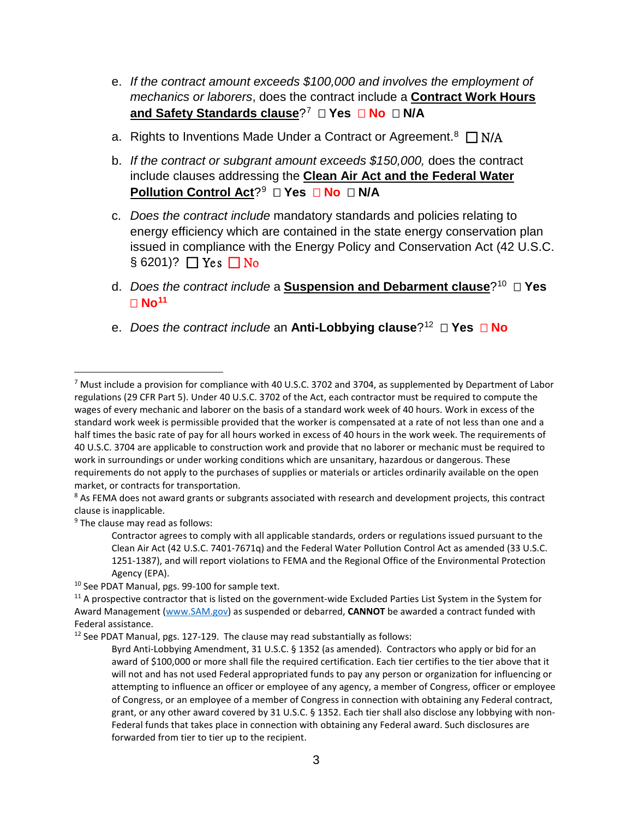- e. *If the contract amount exceeds \$100,000 and involves the employment of mechanics or laborers*, does the contract include a **Contract Work Hours and Safety Standards clause**?<sup>[7](#page-2-0)</sup> □ Yes □ No □ N/A
- a. Rights to Inventions Made Under a Contract or Agreement.<sup>8</sup>  $\Box$  N/A
- b. *If the contract or subgrant amount exceeds \$150,000,* does the contract include clauses addressing the **Clean Air Act and the Federal Water Pollution Control Act?<sup>9</sup> □ Yes □ No □ N/A**
- c. *Does the contract include* mandatory standards and policies relating to energy efficiency which are contained in the state energy conservation plan issued in compliance with the Energy Policy and Conservation Act (42 U.S.C.  $\S 6201$ ?  $\Box$  Yes  $\Box$  No
- d. *Does the contract include* a **Suspension and Debarment clause**?[10](#page-2-3) **Yes No[11](#page-2-4)**
- e. *Does the contract include* an **Anti-Lobbying clause**?[12](#page-2-5) **Yes No**

<span id="page-2-2"></span><sup>9</sup> The clause may read as follows:

<span id="page-2-5"></span><sup>12</sup> See PDAT Manual, pgs. 127-129. The clause may read substantially as follows:

<span id="page-2-0"></span> <sup>7</sup> Must include a provision for compliance with 40 U.S.C. 3702 and 3704, as supplemented by Department of Labor regulations (29 CFR Part 5). Under 40 U.S.C. 3702 of the Act, each contractor must be required to compute the wages of every mechanic and laborer on the basis of a standard work week of 40 hours. Work in excess of the standard work week is permissible provided that the worker is compensated at a rate of not less than one and a half times the basic rate of pay for all hours worked in excess of 40 hours in the work week. The requirements of 40 U.S.C. 3704 are applicable to construction work and provide that no laborer or mechanic must be required to work in surroundings or under working conditions which are unsanitary, hazardous or dangerous. These requirements do not apply to the purchases of supplies or materials or articles ordinarily available on the open market, or contracts for transportation.

<span id="page-2-1"></span><sup>&</sup>lt;sup>8</sup> As FEMA does not award grants or subgrants associated with research and development projects, this contract clause is inapplicable.

Contractor agrees to comply with all applicable standards, orders or regulations issued pursuant to the Clean Air Act (42 U.S.C. 7401-7671q) and the Federal Water Pollution Control Act as amended (33 U.S.C. 1251-1387), and will report violations to FEMA and the Regional Office of the Environmental Protection Agency (EPA).

<span id="page-2-3"></span><sup>&</sup>lt;sup>10</sup> See PDAT Manual, pgs. 99-100 for sample text.

<span id="page-2-4"></span> $11$  A prospective contractor that is listed on the government-wide Excluded Parties List System in the System for Award Management [\(www.SAM.gov\)](http://www.sam.gov/) as suspended or debarred, **CANNOT** be awarded a contract funded with Federal assistance.

Byrd Anti-Lobbying Amendment, 31 U.S.C. § 1352 (as amended). Contractors who apply or bid for an award of \$100,000 or more shall file the required certification. Each tier certifies to the tier above that it will not and has not used Federal appropriated funds to pay any person or organization for influencing or attempting to influence an officer or employee of any agency, a member of Congress, officer or employee of Congress, or an employee of a member of Congress in connection with obtaining any Federal contract, grant, or any other award covered by 31 U.S.C. § 1352. Each tier shall also disclose any lobbying with non-Federal funds that takes place in connection with obtaining any Federal award. Such disclosures are forwarded from tier to tier up to the recipient.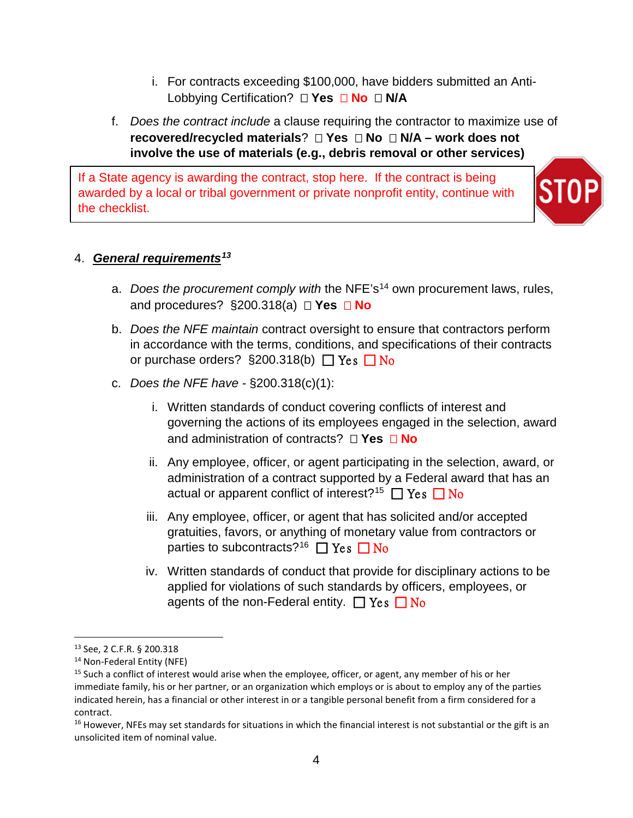i. For contracts exceeding \$100,000, have bidders submitted an Anti-Lobbying Certification? □ Yes □ No □ N/A

# f. *Does the contract include* a clause requiring the contractor to maximize use of **recovered/recycled materials**? **Yes No N/A – work does not involve the use of materials (e.g., debris removal or other services)**

If a State agency is awarding the contract, stop here. If the contract is being awarded by a local or tribal government or private nonprofit entity, continue with the checklist.



## 4. *General requirements[13](#page-3-0)*

- a. *Does the procurement comply with* the NFE's[14](#page-3-1) own procurement laws, rules, and procedures? §200.318(a) **Yes No**
- b. *Does the NFE maintain* contract oversight to ensure that contractors perform in accordance with the terms, conditions, and specifications of their contracts or purchase orders?  $\S 200.318(b)$   $\Box$  Yes  $\Box$  No
- c. *Does the NFE have -* §200.318(c)(1):
	- i. Written standards of conduct covering conflicts of interest and governing the actions of its employees engaged in the selection, award and administration of contracts? **Yes No**
	- ii. Any employee, officer, or agent participating in the selection, award, or administration of a contract supported by a Federal award that has an actual or apparent conflict of interest?<sup>15</sup>  $\Box$  Yes  $\Box$  No
	- iii. Any employee, officer, or agent that has solicited and/or accepted gratuities, favors, or anything of monetary value from contractors or parties to subcontracts?<sup>16</sup>  $\Box$  Yes  $\Box$  No
	- iv. Written standards of conduct that provide for disciplinary actions to be applied for violations of such standards by officers, employees, or agents of the non-Federal entity.  $\Box$  Yes  $\Box$  No

<span id="page-3-0"></span> <sup>13</sup> See, 2 C.F.R. § 200.318

<span id="page-3-1"></span><sup>14</sup> Non-Federal Entity (NFE)

<span id="page-3-2"></span><sup>&</sup>lt;sup>15</sup> Such a conflict of interest would arise when the employee, officer, or agent, any member of his or her immediate family, his or her partner, or an organization which employs or is about to employ any of the parties indicated herein, has a financial or other interest in or a tangible personal benefit from a firm considered for a contract.

<span id="page-3-3"></span> $16$  However, NFEs may set standards for situations in which the financial interest is not substantial or the gift is an unsolicited item of nominal value.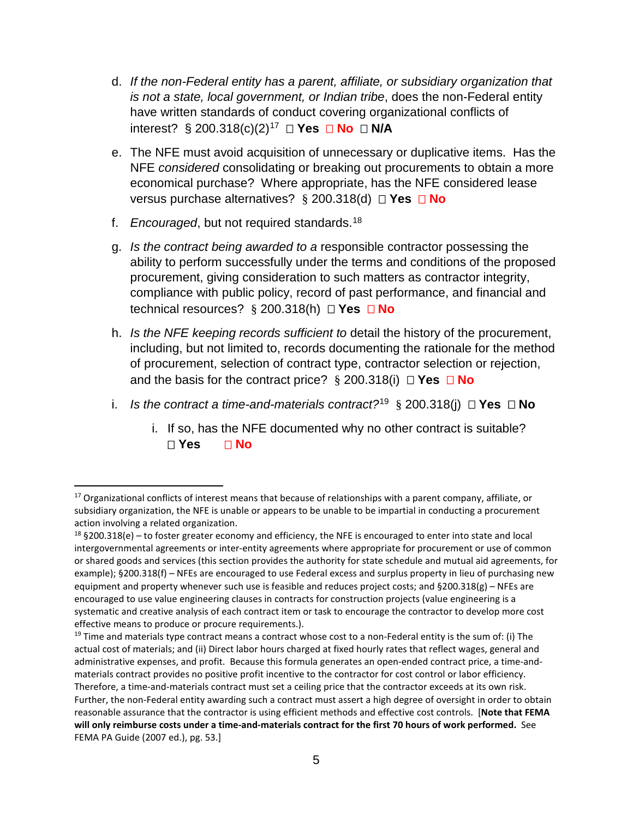- d. *If the non-Federal entity has a parent, affiliate, or subsidiary organization that is not a state, local government, or Indian tribe*, does the non-Federal entity have written standards of conduct covering organizational conflicts of interest?  $\S$  200.318(c)(2)<sup>[17](#page-4-0)</sup>  $\Box$  **Yes**  $\Box$  **No**  $\Box$  **N/A**
- e. The NFE must avoid acquisition of unnecessary or duplicative items. Has the NFE *considered* consolidating or breaking out procurements to obtain a more economical purchase? Where appropriate, has the NFE considered lease versus purchase alternatives? § 200.318(d) **Yes No**
- f. *Encouraged*, but not required standards.[18](#page-4-1)
- g. *Is the contract being awarded to a* responsible contractor possessing the ability to perform successfully under the terms and conditions of the proposed procurement, giving consideration to such matters as contractor integrity, compliance with public policy, record of past performance, and financial and technical resources? § 200.318(h) **Yes No**
- h. *Is the NFE keeping records sufficient to* detail the history of the procurement, including, but not limited to, records documenting the rationale for the method of procurement, selection of contract type, contractor selection or rejection, and the basis for the contract price? § 200.318(i) **Yes No**
- i. *Is the contract a time-and-materials contract?*<sup>[19](#page-4-2)</sup> § 200.318(i)  $\Box$  **Yes**  $\Box$  **No** 
	- i. If so, has the NFE documented why no other contract is suitable? **Yes No**

<span id="page-4-0"></span><sup>&</sup>lt;sup>17</sup> Organizational conflicts of interest means that because of relationships with a parent company, affiliate, or subsidiary organization, the NFE is unable or appears to be unable to be impartial in conducting a procurement action involving a related organization.

<span id="page-4-1"></span> $18$  §200.318(e) – to foster greater economy and efficiency, the NFE is encouraged to enter into state and local intergovernmental agreements or inter-entity agreements where appropriate for procurement or use of common or shared goods and services (this section provides the authority for state schedule and mutual aid agreements, for example); §200.318(f) – NFEs are encouraged to use Federal excess and surplus property in lieu of purchasing new equipment and property whenever such use is feasible and reduces project costs; and  $\S200.318(g)$  – NFEs are encouraged to use value engineering clauses in contracts for construction projects (value engineering is a systematic and creative analysis of each contract item or task to encourage the contractor to develop more cost effective means to produce or procure requirements.).

<span id="page-4-2"></span> $19$  Time and materials type contract means a contract whose cost to a non-Federal entity is the sum of: (i) The actual cost of materials; and (ii) Direct labor hours charged at fixed hourly rates that reflect wages, general and administrative expenses, and profit. Because this formula generates an open-ended contract price, a time-andmaterials contract provides no positive profit incentive to the contractor for cost control or labor efficiency. Therefore, a time-and-materials contract must set a ceiling price that the contractor exceeds at its own risk. Further, the non-Federal entity awarding such a contract must assert a high degree of oversight in order to obtain reasonable assurance that the contractor is using efficient methods and effective cost controls. [**Note that FEMA will only reimburse costs under a time-and-materials contract for the first 70 hours of work performed.** See FEMA PA Guide (2007 ed.), pg. 53.]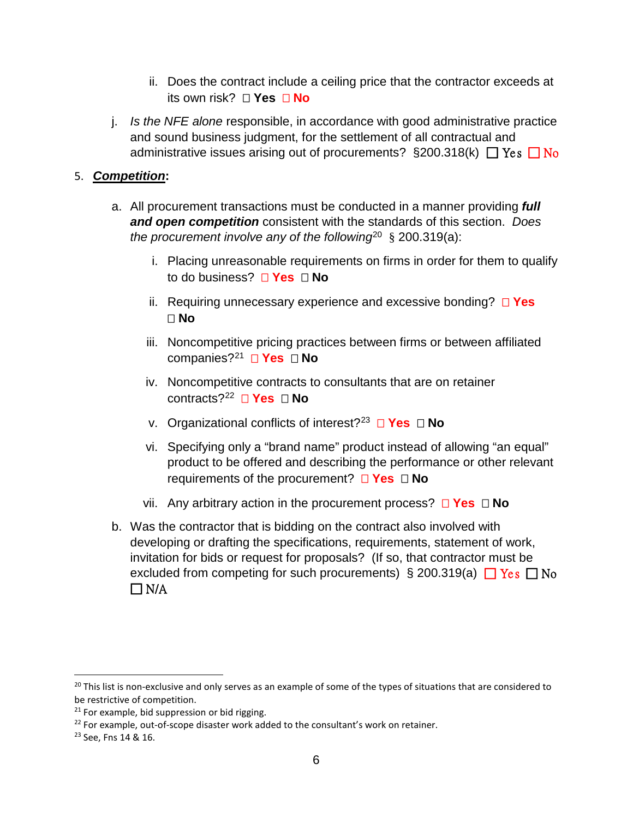- ii. Does the contract include a ceiling price that the contractor exceeds at its own risk? □ Yes □ No
- j. *Is the NFE alone* responsible, in accordance with good administrative practice and sound business judgment, for the settlement of all contractual and administrative issues arising out of procurements?  $\S 200.318(k)$   $\Box$  Yes  $\Box$  No

## 5. *Competition***:**

- a. All procurement transactions must be conducted in a manner providing *full and open competition* consistent with the standards of this section. *Does the procurement involve any of the following*[20](#page-5-0) § 200.319(a):
	- i. Placing unreasonable requirements on firms in order for them to qualify to do business? **Yes No**
	- ii. Requiring unnecessary experience and excessive bonding? **Yes No**
	- iii. Noncompetitive pricing practices between firms or between affiliated companies?[21](#page-5-1) **Yes No**
	- iv. Noncompetitive contracts to consultants that are on retainer contracts?<sup>22</sup> **□ Yes □ No**
	- v. Organizational conflicts of interest?[23](#page-5-3) **Yes No**
	- vi. Specifying only a "brand name" product instead of allowing "an equal" product to be offered and describing the performance or other relevant requirements of the procurement? **Yes No**
	- vii. Any arbitrary action in the procurement process?  $\Box$  **Yes**  $\Box$  **No**
- b. Was the contractor that is bidding on the contract also involved with developing or drafting the specifications, requirements, statement of work, invitation for bids or request for proposals? (If so, that contractor must be excluded from competing for such procurements)  $\S$  200.319(a)  $\Box$  Yes  $\Box$  No  $\Box$  N/A

<span id="page-5-0"></span> $20$  This list is non-exclusive and only serves as an example of some of the types of situations that are considered to be restrictive of competition.

<span id="page-5-1"></span> $21$  For example, bid suppression or bid rigging.

<span id="page-5-2"></span> $22$  For example, out-of-scope disaster work added to the consultant's work on retainer.

<span id="page-5-3"></span><sup>23</sup> See, Fns 14 & 16.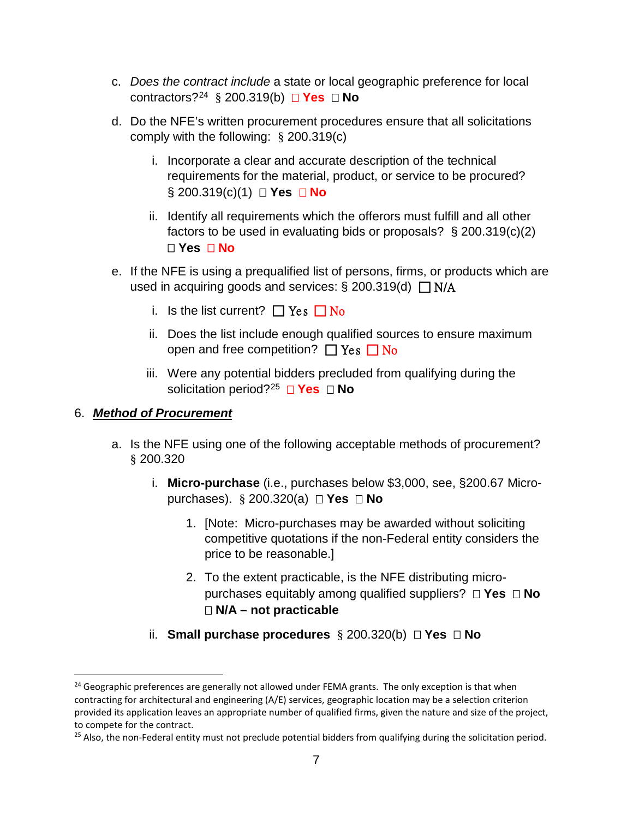- c. *Does the contract include* a state or local geographic preference for local contractors?[24](#page-6-0) § 200.319(b) **Yes No**
- d. Do the NFE's written procurement procedures ensure that all solicitations comply with the following: § 200.319(c)
	- i. Incorporate a clear and accurate description of the technical requirements for the material, product, or service to be procured? § 200.319(c)(1) **□ Yes □ No**
	- ii. Identify all requirements which the offerors must fulfill and all other factors to be used in evaluating bids or proposals? § 200.319(c)(2) **Yes No**
- e. If the NFE is using a prequalified list of persons, firms, or products which are used in acquiring goods and services:  $\S 200.319(d) \square N/A$ 
	- i. Is the list current?  $\Box$  Yes  $\Box$  No
	- ii. Does the list include enough qualified sources to ensure maximum open and free competition?  $\Box$  Yes  $\Box$  No
	- iii. Were any potential bidders precluded from qualifying during the solicitation period?<sup>25</sup> **□ Yes □ No**

## 6. *Method of Procurement*

- a. Is the NFE using one of the following acceptable methods of procurement? § 200.320
	- i. **Micro-purchase** (i.e., purchases below \$3,000, see, §200.67 Micropurchases). § 200.320(a) **Yes No** 
		- 1. [Note: Micro-purchases may be awarded without soliciting competitive quotations if the non-Federal entity considers the price to be reasonable.]
		- 2. To the extent practicable, is the NFE distributing micropurchases equitably among qualified suppliers? **Yes No N/A – not practicable**
	- ii. **Small purchase procedures** § 200.320(b) **Yes No**

<span id="page-6-0"></span><sup>&</sup>lt;sup>24</sup> Geographic preferences are generally not allowed under FEMA grants. The only exception is that when contracting for architectural and engineering (A/E) services, geographic location may be a selection criterion provided its application leaves an appropriate number of qualified firms, given the nature and size of the project, to compete for the contract.

<span id="page-6-1"></span> $25$  Also, the non-Federal entity must not preclude potential bidders from qualifying during the solicitation period.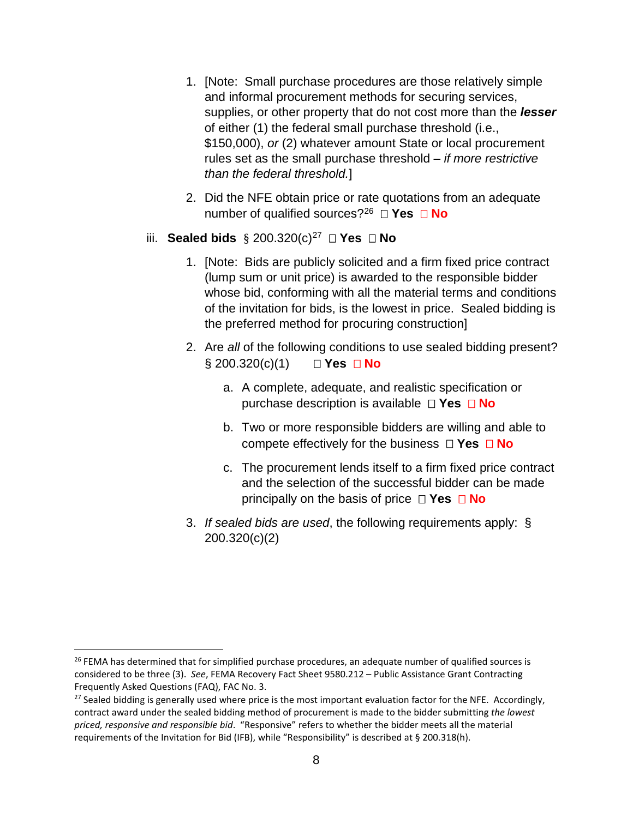- 1. [Note: Small purchase procedures are those relatively simple and informal procurement methods for securing services, supplies, or other property that do not cost more than the *lesser* of either (1) the federal small purchase threshold (i.e., \$150,000), *or* (2) whatever amount State or local procurement rules set as the small purchase threshold – *if more restrictive than the federal threshold.*]
- 2. Did the NFE obtain price or rate quotations from an adequate number of qualified sources?[26](#page-7-0) **Yes No**
- iii. **Sealed bids**  $\S$  200.320(c)<sup>[27](#page-7-1)</sup>  $\Box$  **Yes**  $\Box$  **No** 
	- 1. [Note: Bids are publicly solicited and a firm fixed price contract (lump sum or unit price) is awarded to the responsible bidder whose bid, conforming with all the material terms and conditions of the invitation for bids, is the lowest in price. Sealed bidding is the preferred method for procuring construction]
	- 2. Are *all* of the following conditions to use sealed bidding present? § 200.320(c)(1) □ **Yes** □ **No** 
		- a. A complete, adequate, and realistic specification or purchase description is available **Yes No**
		- b. Two or more responsible bidders are willing and able to compete effectively for the business  $\Box$  **Yes**  $\Box$  **No**
		- c. The procurement lends itself to a firm fixed price contract and the selection of the successful bidder can be made principally on the basis of price  $\Box$  **Yes**  $\Box$  **No**
	- 3. *If sealed bids are used*, the following requirements apply: § 200.320(c)(2)

<span id="page-7-0"></span><sup>&</sup>lt;sup>26</sup> FEMA has determined that for simplified purchase procedures, an adequate number of qualified sources is considered to be three (3). *See*, FEMA Recovery Fact Sheet 9580.212 – Public Assistance Grant Contracting Frequently Asked Questions (FAQ), FAC No. 3.

<span id="page-7-1"></span><sup>&</sup>lt;sup>27</sup> Sealed bidding is generally used where price is the most important evaluation factor for the NFE. Accordingly, contract award under the sealed bidding method of procurement is made to the bidder submitting *the lowest priced, responsive and responsible bid*. "Responsive" refers to whether the bidder meets all the material requirements of the Invitation for Bid (IFB), while "Responsibility" is described at § 200.318(h).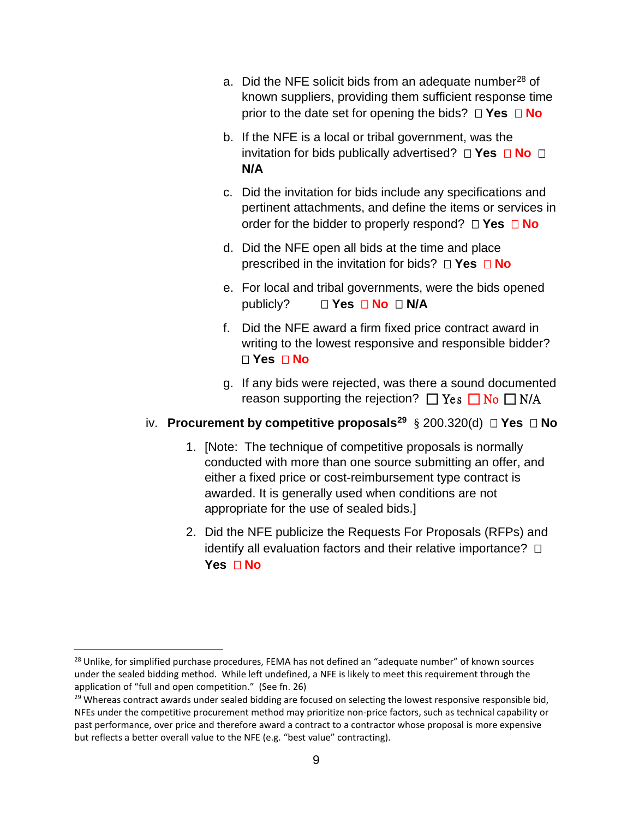- a. Did the NFE solicit bids from an adequate number<sup>[28](#page-8-0)</sup> of known suppliers, providing them sufficient response time prior to the date set for opening the bids? **Yes No**
- b. If the NFE is a local or tribal government, was the invitation for bids publically advertised?  $\Box$  **Yes**  $\Box$  **No**  $\Box$ **N/A**
- c. Did the invitation for bids include any specifications and pertinent attachments, and define the items or services in order for the bidder to properly respond? **Yes No**
- d. Did the NFE open all bids at the time and place prescribed in the invitation for bids?  $\Box$  **Yes**  $\Box$  **No**
- e. For local and tribal governments, were the bids opened publicly? **□ Yes □ No □ N/A**
- f. Did the NFE award a firm fixed price contract award in writing to the lowest responsive and responsible bidder? **Yes No**
- g. If any bids were rejected, was there a sound documented reason supporting the rejection?  $\Box$  Yes  $\Box$  No  $\Box$  N/A

#### iv. **Procurement by competitive proposals[29](#page-8-1)** § 200.320(d) **Yes No**

- 1. [Note: The technique of competitive proposals is normally conducted with more than one source submitting an offer, and either a fixed price or cost-reimbursement type contract is awarded. It is generally used when conditions are not appropriate for the use of sealed bids.]
- 2. Did the NFE publicize the Requests For Proposals (RFPs) and identify all evaluation factors and their relative importance?  $\square$ **Yes No**

<span id="page-8-0"></span><sup>&</sup>lt;sup>28</sup> Unlike, for simplified purchase procedures, FEMA has not defined an "adequate number" of known sources under the sealed bidding method. While left undefined, a NFE is likely to meet this requirement through the application of "full and open competition." (See fn. 26)

<span id="page-8-1"></span> $29$  Whereas contract awards under sealed bidding are focused on selecting the lowest responsive responsible bid, NFEs under the competitive procurement method may prioritize non-price factors, such as technical capability or past performance, over price and therefore award a contract to a contractor whose proposal is more expensive but reflects a better overall value to the NFE (e.g. "best value" contracting).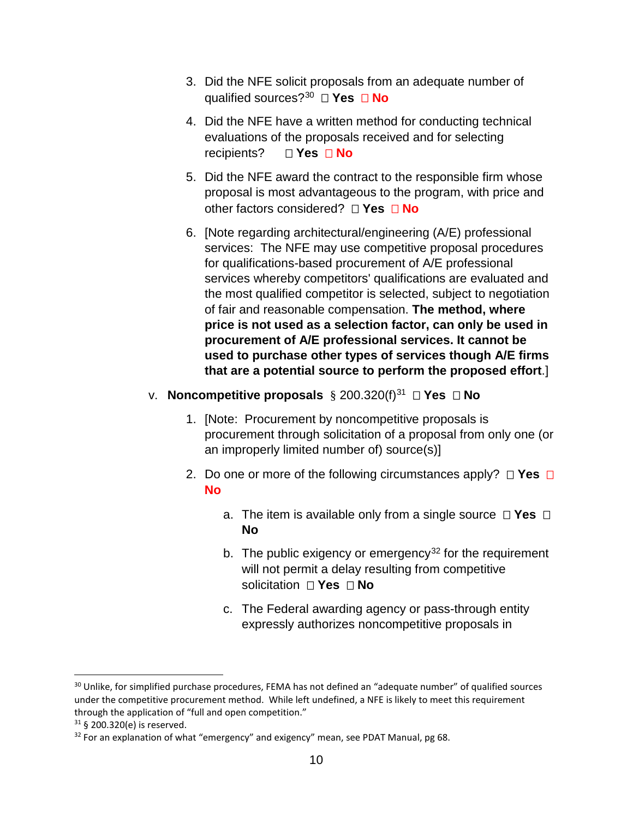- 3. Did the NFE solicit proposals from an adequate number of qualified sources?[30](#page-9-0) **Yes No**
- 4. Did the NFE have a written method for conducting technical evaluations of the proposals received and for selecting *Res* **D** Yes **D** No
- 5. Did the NFE award the contract to the responsible firm whose proposal is most advantageous to the program, with price and other factors considered? **Yes No**
- 6. [Note regarding architectural/engineering (A/E) professional services: The NFE may use competitive proposal procedures for qualifications-based procurement of A/E professional services whereby competitors' qualifications are evaluated and the most qualified competitor is selected, subject to negotiation of fair and reasonable compensation. **The method, where price is not used as a selection factor, can only be used in procurement of A/E professional services. It cannot be used to purchase other types of services though A/E firms that are a potential source to perform the proposed effort**.]
- v. **Noncompetitive proposals** § 200.320(f)[31](#page-9-1)  **Yes No** 
	- 1. [Note: Procurement by noncompetitive proposals is procurement through solicitation of a proposal from only one (or an improperly limited number of) source(s)]
	- 2. Do one or more of the following circumstances apply?  $\Box$  **Yes**  $\Box$ **No** 
		- a. The item is available only from a single source  $\Box$  **Yes**  $\Box$ **No**
		- b. The public exigency or emergency<sup>[32](#page-9-2)</sup> for the requirement will not permit a delay resulting from competitive solicitation **Yes No**
		- c. The Federal awarding agency or pass-through entity expressly authorizes noncompetitive proposals in

<span id="page-9-0"></span><sup>&</sup>lt;sup>30</sup> Unlike, for simplified purchase procedures, FEMA has not defined an "adequate number" of qualified sources under the competitive procurement method. While left undefined, a NFE is likely to meet this requirement through the application of "full and open competition."

<span id="page-9-1"></span><sup>31</sup> § 200.320(e) is reserved.

<span id="page-9-2"></span> $32$  For an explanation of what "emergency" and exigency" mean, see PDAT Manual, pg 68.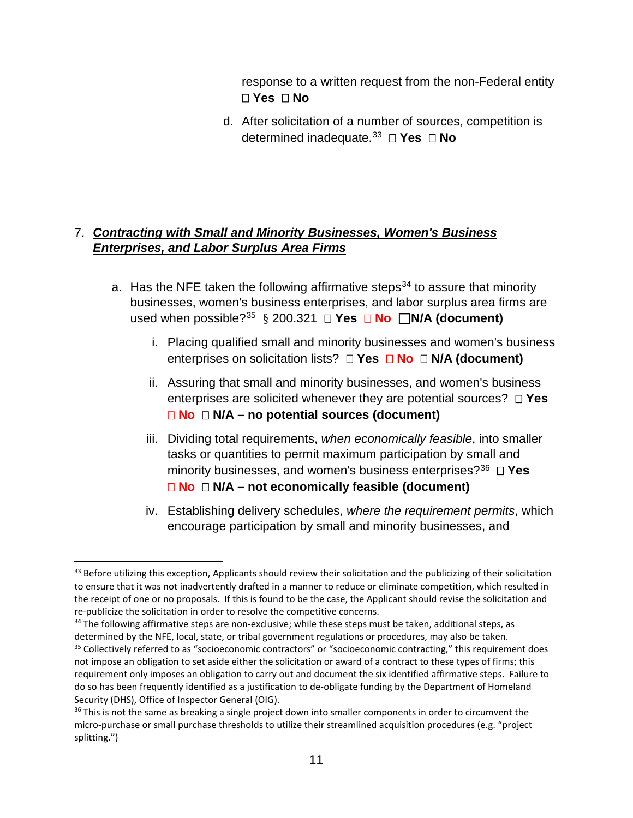response to a written request from the non-Federal entity **Yes No** 

d. After solicitation of a number of sources, competition is determined inadequate.[33](#page-10-0) **Yes No** 

# 7. *Contracting with Small and Minority Businesses, Women's Business Enterprises, and Labor Surplus Area Firms*

- a. Has the NFE taken the following affirmative steps<sup>[34](#page-10-1)</sup> to assure that minority businesses, women's business enterprises, and labor surplus area firms are used when possible?<sup>[35](#page-10-2)</sup> § 200.321  $\Box$  **Yes**  $\Box$  **No**  $\Box$  **N/A (document)** 
	- i. Placing qualified small and minority businesses and women's business enterprises on solicitation lists? **Yes No N/A (document)**
	- ii. Assuring that small and minority businesses, and women's business enterprises are solicited whenever they are potential sources? **Yes No N/A – no potential sources (document)**
	- iii. Dividing total requirements, *when economically feasible*, into smaller tasks or quantities to permit maximum participation by small and minority businesses, and women's business enterprises?[36](#page-10-3)  **Yes No N/A – not economically feasible (document)**
	- iv. Establishing delivery schedules, *where the requirement permits*, which encourage participation by small and minority businesses, and

<span id="page-10-1"></span><sup>34</sup> The following affirmative steps are non-exclusive; while these steps must be taken, additional steps, as determined by the NFE, local, state, or tribal government regulations or procedures, may also be taken.

<span id="page-10-0"></span><sup>&</sup>lt;sup>33</sup> Before utilizing this exception, Applicants should review their solicitation and the publicizing of their solicitation to ensure that it was not inadvertently drafted in a manner to reduce or eliminate competition, which resulted in the receipt of one or no proposals. If this is found to be the case, the Applicant should revise the solicitation and re-publicize the solicitation in order to resolve the competitive concerns.

<span id="page-10-2"></span><sup>&</sup>lt;sup>35</sup> Collectively referred to as "socioeconomic contractors" or "socioeconomic contracting," this requirement does not impose an obligation to set aside either the solicitation or award of a contract to these types of firms; this requirement only imposes an obligation to carry out and document the six identified affirmative steps. Failure to do so has been frequently identified as a justification to de-obligate funding by the Department of Homeland Security (DHS), Office of Inspector General (OIG).

<span id="page-10-3"></span><sup>&</sup>lt;sup>36</sup> This is not the same as breaking a single project down into smaller components in order to circumvent the micro-purchase or small purchase thresholds to utilize their streamlined acquisition procedures (e.g. "project splitting.")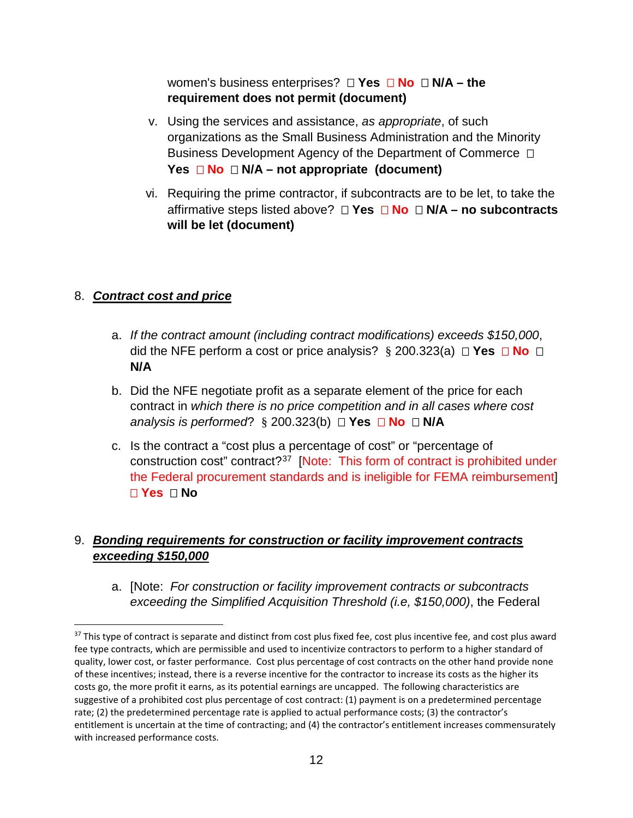women's business enterprises?  $\Box$  Yes  $\Box$  No  $\Box$  N/A – the **requirement does not permit (document)**

- v. Using the services and assistance, *as appropriate*, of such organizations as the Small Business Administration and the Minority Business Development Agency of the Department of Commerce  $\Box$ **Yes**  $\Box$  **No**  $\Box$  **N/A** – not appropriate (document)
- vi. Requiring the prime contractor, if subcontracts are to be let, to take the affirmative steps listed above? **Yes No N/A – no subcontracts will be let (document)**

## 8. *Contract cost and price*

- a. *If the contract amount (including contract modifications) exceeds \$150,000*, did the NFE perform a cost or price analysis?  $\S$  200.323(a)  $\Box$  **Yes**  $\Box$  **No**  $\Box$ **N/A**
- b. Did the NFE negotiate profit as a separate element of the price for each contract in *which there is no price competition and in all cases where cost analysis is performed*?  $\S$  200.323(b)  $\Box$  **Yes**  $\Box$  **No**  $\Box$  **N/A**
- c. Is the contract a "cost plus a percentage of cost" or "percentage of construction cost" contract?[37](#page-11-0) [Note: This form of contract is prohibited under the Federal procurement standards and is ineligible for FEMA reimbursement] **Yes No**

# 9. *Bonding requirements for construction or facility improvement contracts exceeding \$150,000*

a. [Note: *For construction or facility improvement contracts or subcontracts exceeding the Simplified Acquisition Threshold (i.e, \$150,000)*, the Federal

<span id="page-11-0"></span><sup>&</sup>lt;sup>37</sup> This type of contract is separate and distinct from cost plus fixed fee, cost plus incentive fee, and cost plus award fee type contracts, which are permissible and used to incentivize contractors to perform to a higher standard of quality, lower cost, or faster performance. Cost plus percentage of cost contracts on the other hand provide none of these incentives; instead, there is a reverse incentive for the contractor to increase its costs as the higher its costs go, the more profit it earns, as its potential earnings are uncapped. The following characteristics are suggestive of a prohibited cost plus percentage of cost contract: (1) payment is on a predetermined percentage rate; (2) the predetermined percentage rate is applied to actual performance costs; (3) the contractor's entitlement is uncertain at the time of contracting; and (4) the contractor's entitlement increases commensurately with increased performance costs.